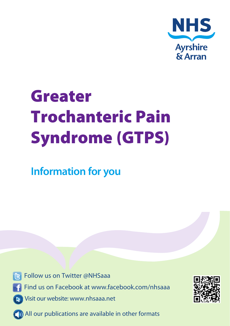

# Greater Trochanteric Pain Syndrome (GTPS)

**Information for you**

Visit our website: www.nhsaaa.net Find us on Facebook at www.facebook.com/nhsaaa Follow us on Twitter @NHSaaa



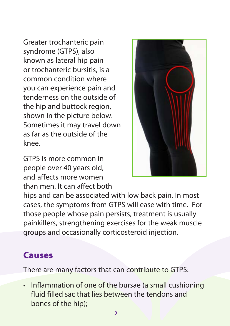Greater trochanteric pain syndrome (GTPS), also known as lateral hip pain or trochanteric bursitis, is a common condition where you can experience pain and tenderness on the outside of the hip and buttock region, shown in the picture below. Sometimes it may travel down as far as the outside of the knee.

GTPS is more common in people over 40 years old, and affects more women than men. It can affect both



hips and can be associated with low back pain. In most cases, the symptoms from GTPS will ease with time. For those people whose pain persists, treatment is usually mose people whose pain persists, treatment is asaany<br>painkillers, strengthening exercises for the weak muscle paintmers, sterightning exercises for the weak masere paintmers, sterightning exercises for the weak masere from GTPS will extensionally connected with time. For the persister whose pain persists, treatment is usually in the set of the set of the set of the set of the set of the set of the set of the set of the set of the set of

### **Causes** painkillers, strengthening exercises for the weak muscle groups and occasionally

There are many factors that can contribute to GTPS:

• Inflammation of one of the bursae (a small cushioning fluid filled sac that lies between the tendons and **fluid filled sac that lies between** the tendons and the hip);<br>the tendons of the hip); **Causes:** there are many factors that can contribute to GTPS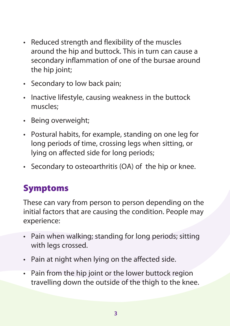- Reduced strength and flexibility of the muscles around the hip and buttock. This in turn can cause a secondary inflammation of one of the bursae around the hip joint;
- Secondary to low back pain;
- Inactive lifestyle, causing weakness in the buttock muscles;
- • Being overweight;
- Postural habits, for example, standing on one leg for long periods of time, crossing legs when sitting, or lying on affected side for long periods;
- Secondary to osteoarthritis (OA) of the hip or knee.

### Symptoms

These can vary from person to person depending on the initial factors that are causing the condition. People may experience:

- Pain when walking; standing for long periods; sitting with legs crossed.
- Pain at night when lying on the affected side.
- Pain from the hip joint or the lower buttock region travelling down the outside of the thigh to the knee.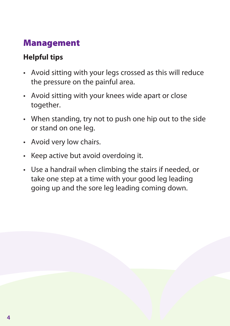### Management

#### **Helpful tips**

- Avoid sitting with your legs crossed as this will reduce the pressure on the painful area.
- • Avoid sitting with your knees wide apart or close together.
- When standing, try not to push one hip out to the side or stand on one leg.
- Avoid very low chairs.
- Keep active but avoid overdoing it.
- • Use a handrail when climbing the stairs if needed, or take one step at a time with your good leg leading going up and the sore leg leading coming down.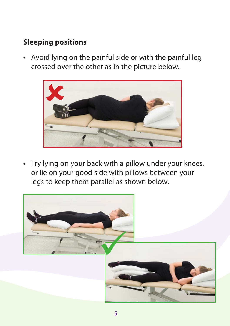#### **Sleeping positions** my r Sleeping positions of the painful side of the painful leg crossed over the picture of the picture of the picture of the picture of the picture of the picture or with the picture or with the picture of the picture of the pi below.  $\epsilon$  avoid very low chairs. • Keep active, but avoid overexertion or activities that you are not used to.

• Avoid lying on the painful side or with the painful leg crossed over the other as in the picture below. variety would go the good leading the social term in the south down.



• Try lying on your back with a pillow under your knees, between your statement of pillow and continued to keep them. legs to keep them parallel as shown below.

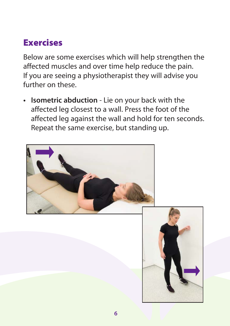### Exercises

Below are some exercises which will help strengthen the affected muscles and over time help reduce the pain. If you are seeing a physiotherapist they will advise you further on these. these.

**• Isometric abduction** - Lie on your back with the affected leg closest to a wall. Press the foot of the affected leg against the wall and hold for ten seconds. Repeat the same exercise, but standing up.

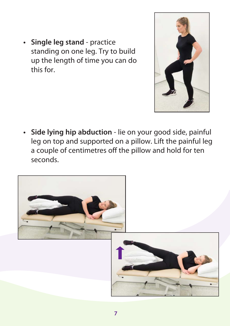**• Single leg stand** - practice standing on one leg. Try to build up the length of time you can do this for.



• Side lying hip abduction - lie on your good side, painful leg on top and supported on a pillow. Lift the painful leg a couple of centimetres off the pillow and hold for ten seconds.

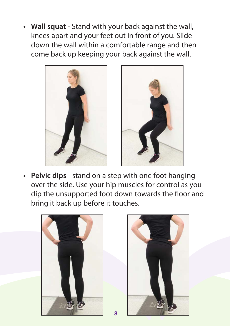**Wall squat** - Stand with your back against the wall, knees apart and your feet out in front of you. Slide down the wall within a comfortable range and then come back up keeping your back against the wall.





over the side. Use your hip muscles for control as you we die stael ose your mp muscles for control as you lip the unsupported for muscles for control as you dip the unsupported foot down towards the floor and bring dip the unsupported foot down towards the floor and **Pelvic dips** - stand on a step with one foot hanging appensed foot as in towards the floor and the floor and bring it back up before it touches. bring it back up before  $m = 0.000$  dip the unsupported foot down towards the floor and bring  $m = 0.000$ it back up before it tou



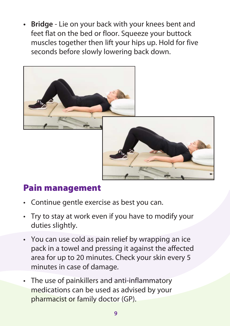**• Bridge** - Lie on your back with your knees bent and feet flat on the bed or floor. Squeeze your buttock muscles together then lift your hips up. Hold for five seconds before slowly lowering back down.  $\frac{1}{2}$ 



#### **Pain management** and anti-inflammatory medications can be used as advised by used as advised by used as advised by  $\mathcal{L}$ your pharmacist or family doctor (GP).

- Continue gentle exercise as best you can. • Continue gentle exercise as best you can.
- Try to stay at work even if you have to modify your example something cold as pain relief such as pain relief such as wrapping and in a damp of  $\alpha$  damp  $\alpha$  damp  $\alpha$  and  $\alpha$  damp  $\alpha$  damp  $\alpha$  damp  $\alpha$  $\frac{1}{2}$  it against the affected area for up to 20 minutes.
- $\frac{1}{2}$  your symptoms have not improved or are getting worse after the getting  $\frac{1}{2}$ area for up to zo fillifules. Crieck your skill every minutes in case of damage. • You can use cold as pain relief by wrapping an ice pack in a towel and pressing it against the affected • Packing tower and pressing it against the anceted pain management but will not resolve the resolve the resolve the resolve the resolve the resolve the resolve the resolve the resolve the resolve the resolve the resolve t area for up to 20 minutes. Check your skin every 5
- $\mathbf{y} = \mathbf{y} \mathbf{y}$  severe, sharp or show  $\mathbf{y} = \mathbf{y} \mathbf{y}$  see shown in the joint  $\mathbf{y} = \mathbf{y} \mathbf{y}$ **Then please review this with your can be used as advised by your Prognosis**  $\mathbf{y}$  is the notation of are getting words  $\mathbf{y}$  at  $\mathbf{y}$ • The use of painkillers and anti-inflammatory pharmacist or family doctor (GP).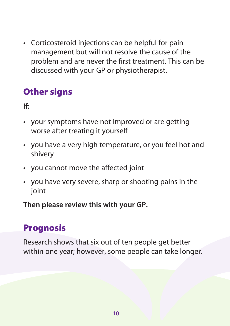• Corticosteroid injections can be helpful for pain management but will not resolve the cause of the problem and are never the first treatment. This can be discussed with your GP or physiotherapist.

### Other signs

**If:**

- your symptoms have not improved or are getting worse after treating it yourself
- you have a very high temperature, or you feel hot and shivery
- you cannot move the affected joint
- you have very severe, sharp or shooting pains in the joint

**Then please review this with your GP.**

### Prognosis

Research shows that six out of ten people get better within one year; however, some people can take longer.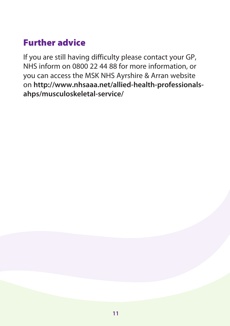### Further advice

If you are still having difficulty please contact your GP, NHS inform on 0800 22 44 88 for more information, or you can access the MSK NHS Ayrshire & Arran website on **http://www.nhsaaa.net/allied-health-professionalsahps/musculoskeletal-service/**